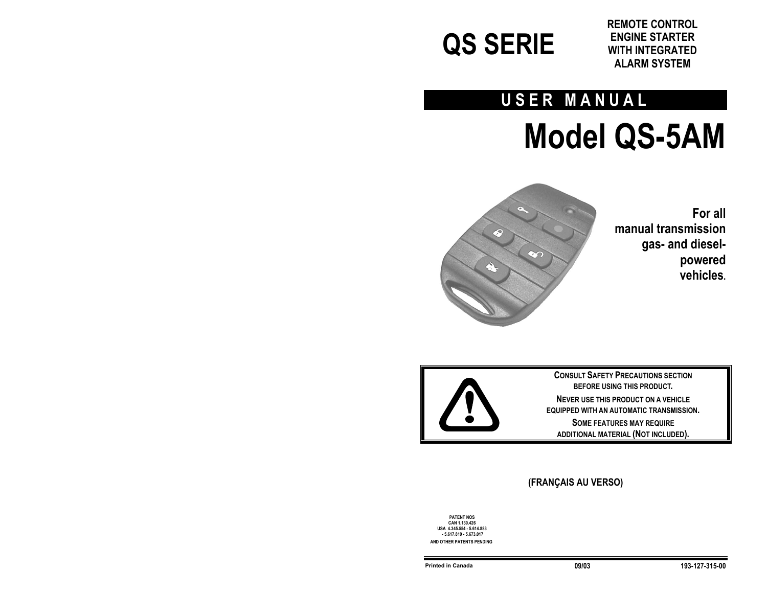

**REMOTE CONTROL ENGINE STARTER WITH INTEGRATED ALARM SYSTEM**

## **USER MANUAL**

# **Model QS-5AM**



**For all manual transmission gas- and dieselpowered vehicles.** 



**CONSULT SAFETY PRECAUTIONS SECTION BEFORE USING THIS PRODUCT. NEVER USE THIS PRODUCT ON A VEHICLE EQUIPPED WITH AN AUTOMATIC TRANSMISSION. SOME FEATURES MAY REQUIRE ADDITIONAL MATERIAL (NOT INCLUDED).** 

## **(FRANÇAIS AU VERSO)**

**PATENT NOS CAN 1.130.426 USA 4.345.554 - 5.614.883 - 5.617.819 - 5.673.017 AND OTHER PATENTS PENDING**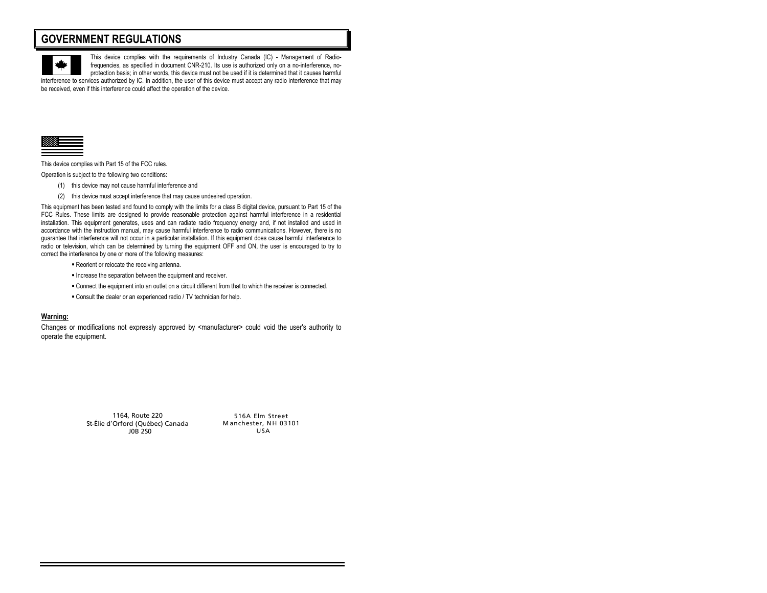## **GOVERNMENT REGULATIONS**



This device complies with the requirements of Industry Canada (IC) - Management of Radiofrequencies, as specified in document CNR-210. Its use is authorized only on a no-interference, noprotection basis; in other words, this device must not be used if it is determined that it causes harmful

interference to services authorized by IC. In addition, the user of this device must accept any radio interference that may be received, even if this interference could affect the operation of the device.



This device complies with Part 15 of the FCC rules.

Operation is subject to the following two conditions:

- (1) this device may not cause harmful interference and
- (2) this device must accept interference that may cause undesired operation.

This equipment has been tested and found to comply with the limits for a class B digital device, pursuant to Part 15 of the FCC Rules. These limits are designed to provide reasonable protection against harmful interference in a residential installation. This equipment generates, uses and can radiate radio frequency energy and, if not installed and used in accordance with the instruction manual, may cause harmful interference to radio communications. However, there is no guarantee that interference will not occur in a particular installation. If this equipment does cause harmful interference to radio or television, which can be determined by turning the equipment OFF and ON, the user is encouraged to try to correct the interference by one or more of the following measures:

- **Reorient or relocate the receiving antenna.**
- **Increase the separation between the equipment and receiver.**
- Connect the equipment into an outlet on a circuit different from that to which the receiver is connected.
- Consult the dealer or an experienced radio / TV technician for help.

#### **Warning:**

Changes or modifications not expressly approved by <manufacturer> could void the user's authority to operate the equipment.

> 1164, Route 220 St-Élie d'Orford (Québec) Canada J0B 2S0

516A Elm Street Manchester, NH 03101 USA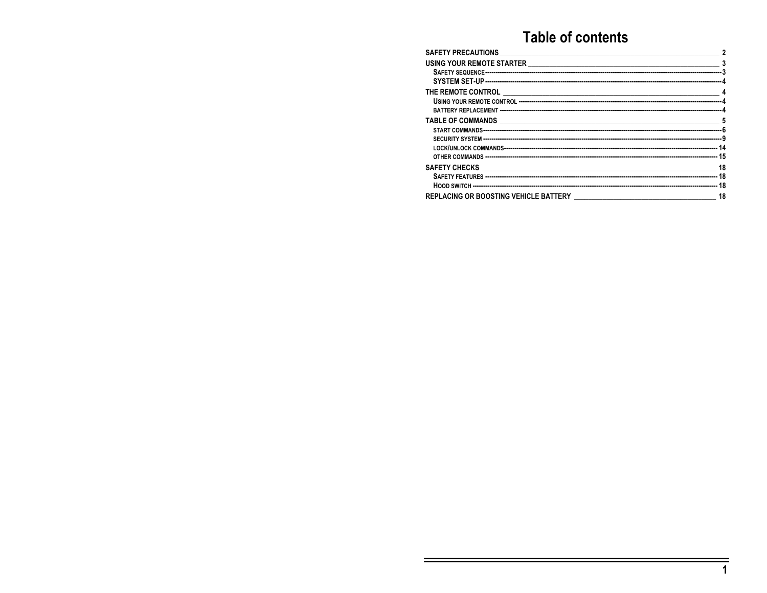## **Table of contents**

| ${\color{red} \texttt{USING} \texttt{YOUR REMOTE} \texttt{STATER} \texttt{ } \texttt{ } \texttt{3} \texttt{A}\texttt{FETY SEQUENCE} \texttt{ } \texttt{ } \texttt{3} \texttt{R} \texttt{E1} \texttt{C1} \texttt{ } \texttt{0} \texttt{0} \texttt{0} \texttt{0} \texttt{0} \texttt{0} \texttt{0} \texttt{0} \texttt{0} \texttt{0} \texttt{0} \texttt{0} \texttt{0} \texttt{0} \texttt{0} \texttt{0} \texttt{0} \texttt{0} \texttt{0} \texttt{0$ |    |
|------------------------------------------------------------------------------------------------------------------------------------------------------------------------------------------------------------------------------------------------------------------------------------------------------------------------------------------------------------------------------------------------------------------------------------------------|----|
|                                                                                                                                                                                                                                                                                                                                                                                                                                                |    |
|                                                                                                                                                                                                                                                                                                                                                                                                                                                |    |
|                                                                                                                                                                                                                                                                                                                                                                                                                                                |    |
|                                                                                                                                                                                                                                                                                                                                                                                                                                                |    |
|                                                                                                                                                                                                                                                                                                                                                                                                                                                |    |
|                                                                                                                                                                                                                                                                                                                                                                                                                                                |    |
|                                                                                                                                                                                                                                                                                                                                                                                                                                                |    |
|                                                                                                                                                                                                                                                                                                                                                                                                                                                |    |
|                                                                                                                                                                                                                                                                                                                                                                                                                                                |    |
|                                                                                                                                                                                                                                                                                                                                                                                                                                                |    |
|                                                                                                                                                                                                                                                                                                                                                                                                                                                |    |
|                                                                                                                                                                                                                                                                                                                                                                                                                                                |    |
|                                                                                                                                                                                                                                                                                                                                                                                                                                                | 18 |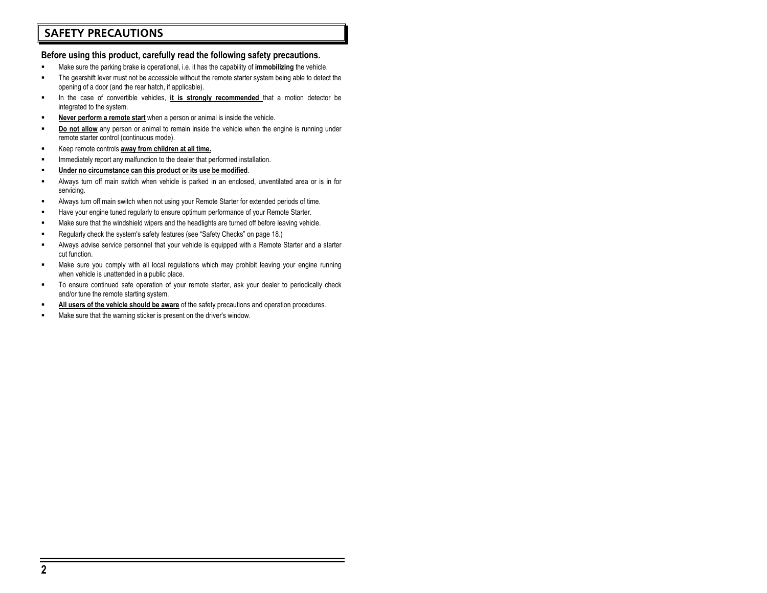## **SAFETY PRECAUTIONS**

#### **Before using this product, carefully read the following safety precautions.**

- Make sure the parking brake is operational, i.e. it has the capability of **immobilizing** the vehicle.
- The gearshift lever must not be accessible without the remote starter system being able to detect the opening of a door (and the rear hatch, if applicable).
- In the case of convertible vehicles, **it is strongly recommended** that a motion detector be integrated to the system.
- **Never perform a remote start** when a person or animal is inside the vehicle.
- **Do not allow** any person or animal to remain inside the vehicle when the engine is running under remote starter control (continuous mode).
- Keep remote controls **away from children at all time.**
- Immediately report any malfunction to the dealer that performed installation.
- **Under no circumstance can this product or its use be modified**.
- Always turn off main switch when vehicle is parked in an enclosed, unventilated area or is in for servicing.
- Always turn off main switch when not using your Remote Starter for extended periods of time.
- Have your engine tuned regularly to ensure optimum performance of your Remote Starter.
- Make sure that the windshield wipers and the headlights are turned off before leaving vehicle.
- Regularly check the system's safety features (see "Safety Checks" on page 18.)
- Always advise service personnel that your vehicle is equipped with a Remote Starter and a starter cut function.
- Make sure you comply with all local regulations which may prohibit leaving your engine running when vehicle is unattended in a public place.
- To ensure continued safe operation of your remote starter, ask your dealer to periodically check and/or tune the remote starting system.
- **All users of the vehicle should be aware** of the safety precautions and operation procedures.
- Make sure that the warning sticker is present on the driver's window.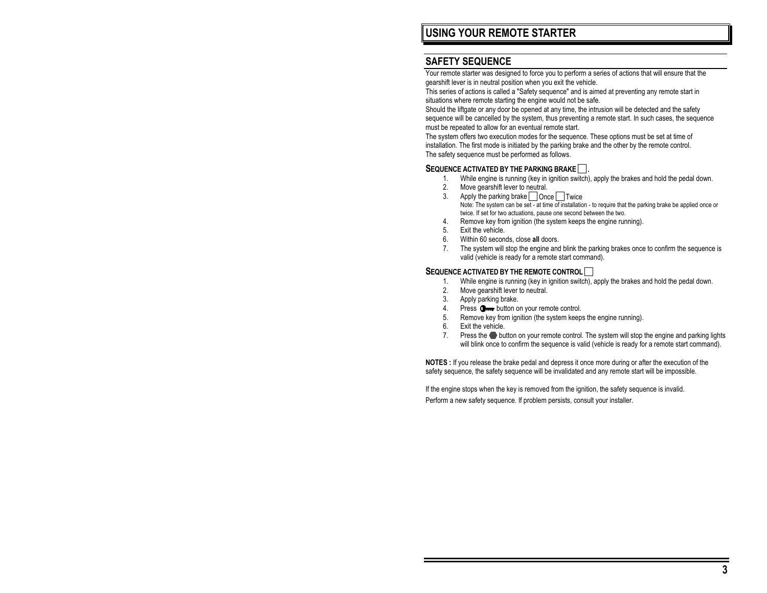## **SAFETY SEQUENCE**

Your remote starter was designed to force you to perform a series of actions that will ensure that the gearshift lever is in neutral position when you exit the vehicle.

This series of actions is called a "Safety sequence" and is aimed at preventing any remote start in situations where remote starting the engine would not be safe.

Should the liftgate or any door be opened at any time, the intrusion will be detected and the safety sequence will be cancelled by the system, thus preventing a remote start. In such cases, the sequence must be repeated to allow for an eventual remote start.

The system offers two execution modes for the sequence. These options must be set at time of installation. The first mode is initiated by the parking brake and the other by the remote control. The safety sequence must be performed as follows.

#### **SEQUENCE ACTIVATED BY THE PARKING BRAKE ...**

- 1. While engine is running (key in ignition switch), apply the brakes and hold the pedal down.
- 2. Move gearshift lever to neutral.
- 3. Apply the parking brake Once Twice Note: The system can be set - at time of installation - to require that the parking brake be applied once or twice. If set for two actuations, pause one second between the two.
- 4. Remove key from ignition (the system keeps the engine running).
- 5. Exit the vehicle.
- 6. Within 60 seconds, close **all** doors.
- 7. The system will stop the engine and blink the parking brakes once to confirm the sequence is valid (vehicle is ready for a remote start command).

#### **SEQUENCE ACTIVATED BY THE REMOTE CONTROL**

- 1. While engine is running (key in ignition switch), apply the brakes and hold the pedal down.
- 2. Move gearshift lever to neutral.
- 3. Apply parking brake.
- 4. Press **O**<sub>m</sub> button on your remote control.
- 5. Remove key from ignition (the system keeps the engine running).
- 6. Exit the vehicle.
- 7. Press the button on your remote control. The system will stop the engine and parking lights will blink once to confirm the sequence is valid (vehicle is ready for a remote start command).

**NOTES :** If you release the brake pedal and depress it once more during or after the execution of the safety sequence, the safety sequence will be invalidated and any remote start will be impossible.

If the engine stops when the key is removed from the ignition, the safety sequence is invalid. Perform a new safety sequence. If problem persists, consult your installer.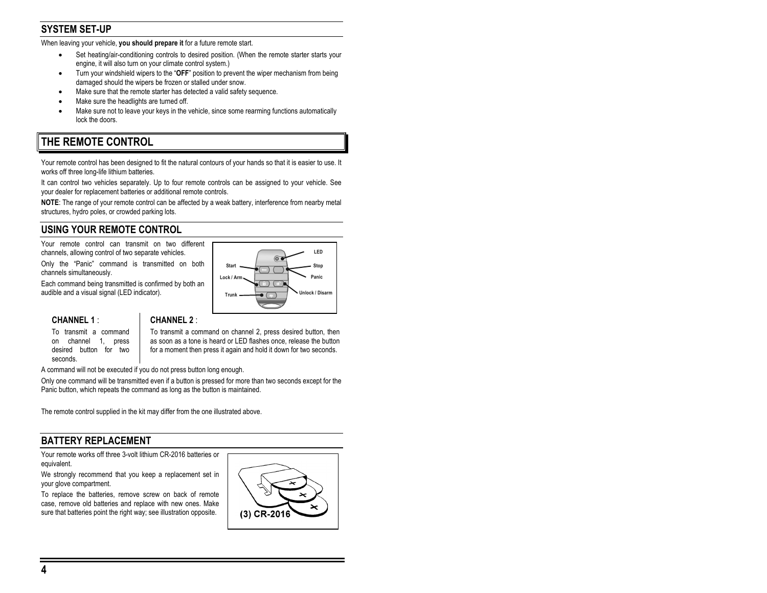## **SYSTEM SET-UP**

When leaving your vehicle, **you should prepare it** for a future remote start.

- Set heating/air-conditioning controls to desired position. (When the remote starter starts your engine, it will also turn on your climate control system.)
- Turn your windshield wipers to the "**OFF**" position to prevent the wiper mechanism from being damaged should the wipers be frozen or stalled under snow.
- Make sure that the remote starter has detected a valid safety sequence.
- Make sure the headlights are turned off.
- Make sure not to leave your keys in the vehicle, since some rearming functions automatically lock the doors.

## **THE REMOTE CONTROL**

Your remote control has been designed to fit the natural contours of your hands so that it is easier to use. It works off three long-life lithium batteries.

It can control two vehicles separately. Up to four remote controls can be assigned to your vehicle. See your dealer for replacement batteries or additional remote controls.

**NOTE**: The range of your remote control can be affected by a weak battery, interference from nearby metal structures, hydro poles, or crowded parking lots.

## **USING YOUR REMOTE CONTROL**

Your remote control can transmit on two different channels, allowing control of two separate vehicles.

Only the "Panic" command is transmitted on both channels simultaneously.

Each command being transmitted is confirmed by both an audible and a visual signal (LED indicator).



#### **CHANNEL 1** :

To transmit a command on channel 1, press desired button for two seconds.

#### **CHANNEL 2** :

To transmit a command on channel 2, press desired button, then as soon as a tone is heard or LED flashes once, release the button for a moment then press it again and hold it down for two seconds.

A command will not be executed if you do not press button long enough.

Only one command will be transmitted even if a button is pressed for more than two seconds except for the Panic button, which repeats the command as long as the button is maintained.

The remote control supplied in the kit may differ from the one illustrated above.

## **BATTERY REPLACEMENT**

Your remote works off three 3-volt lithium CR-2016 batteries or equivalent.

We strongly recommend that you keep a replacement set in your glove compartment.

To replace the batteries, remove screw on back of remote case, remove old batteries and replace with new ones. Make sure that batteries point the right way; see illustration opposite.

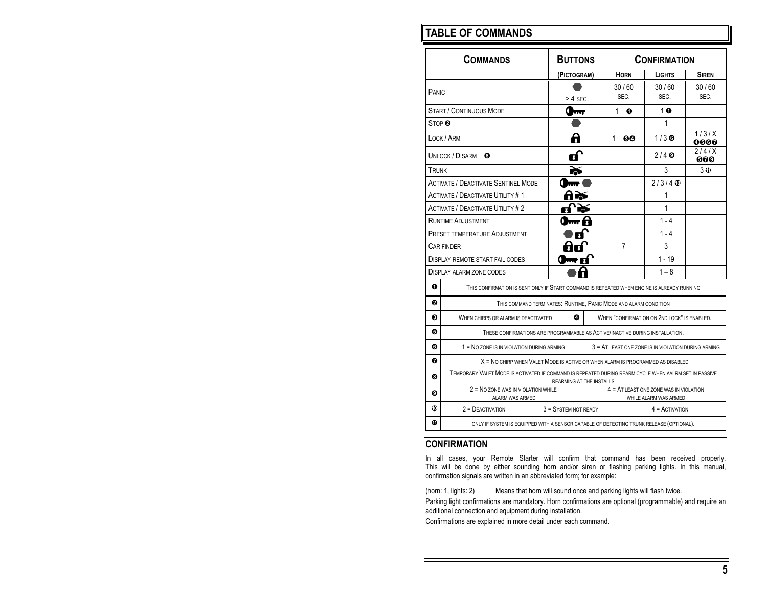## **TABLE OF COMMANDS**

| <b>COMMANDS</b>                                                                                                                        |                                                                                                                            | <b>BUTTONS</b>       |  | <b>CONFIRMATION</b> |                                                     |               |
|----------------------------------------------------------------------------------------------------------------------------------------|----------------------------------------------------------------------------------------------------------------------------|----------------------|--|---------------------|-----------------------------------------------------|---------------|
|                                                                                                                                        |                                                                                                                            | (PICTOGRAM)          |  | <b>HORN</b>         | <b>LIGHTS</b>                                       | <b>SIREN</b>  |
| PANIC                                                                                                                                  |                                                                                                                            | $>$ 4 SEC.           |  | 30/60<br>SEC.       | 30/60<br>SEC.                                       | 30/60<br>SEC. |
|                                                                                                                                        | <b>START / CONTINUOUS MODE</b>                                                                                             |                      |  | 1<br>ถ              | $1$ o                                               |               |
| STOP <sup><math>\boldsymbol{\Theta}</math></sup>                                                                                       |                                                                                                                            |                      |  |                     | 1                                                   |               |
|                                                                                                                                        | LOCK / ARM                                                                                                                 | A                    |  | $1 \quad$<br>60     | $1/3$ $\odot$                                       | 1/3/X<br>0000 |
|                                                                                                                                        | UNLOCK / DISARM<br>⊕                                                                                                       | п                    |  |                     | $2/4$ $\odot$                                       | 2/4/X<br>000  |
| TRUNK                                                                                                                                  |                                                                                                                            |                      |  |                     | 3                                                   | 3 O           |
|                                                                                                                                        | <b>ACTIVATE / DEACTIVATE SENTINEL MODE</b>                                                                                 |                      |  |                     | $2/3/4$ $\circledcirc$                              |               |
|                                                                                                                                        | <b>ACTIVATE / DEACTIVATE UTILITY #1</b>                                                                                    |                      |  |                     | 1                                                   |               |
|                                                                                                                                        | <b>ACTIVATE / DEACTIVATE UTILITY #2</b>                                                                                    |                      |  |                     | 1                                                   |               |
|                                                                                                                                        | <b>RUNTIME ADJUSTMENT</b>                                                                                                  |                      |  |                     | $1 - 4$                                             |               |
| PRESET TEMPERATURE ADJUSTMENT                                                                                                          |                                                                                                                            |                      |  |                     | $1 - 4$                                             |               |
| CAR FINDER                                                                                                                             |                                                                                                                            |                      |  | 7                   | 3                                                   |               |
| $1 - 19$<br>DISPLAY REMOTE START FAIL CODES                                                                                            |                                                                                                                            |                      |  |                     |                                                     |               |
|                                                                                                                                        | DISPLAY ALARM ZONE CODES                                                                                                   |                      |  |                     | $1 - 8$                                             |               |
| ⋒                                                                                                                                      | THIS CONFIRMATION IS SENT ONLY IF START COMMAND IS REPEATED WHEN ENGINE IS ALREADY RUNNING                                 |                      |  |                     |                                                     |               |
| 0<br>THIS COMMAND TERMINATES: RUNTIME, PANIC MODE AND ALARM CONDITION                                                                  |                                                                                                                            |                      |  |                     |                                                     |               |
| ค                                                                                                                                      | WHEN "CONFIRMATION ON 2ND LOCK" IS ENABLED.<br>ø<br>WHEN CHIRPS OR ALARM IS DEACTIVATED                                    |                      |  |                     |                                                     |               |
| Θ<br>THESE CONFIRMATIONS ARE PROGRAMMABLE AS ACTIVE/INACTIVE DURING INSTALLATION.                                                      |                                                                                                                            |                      |  |                     |                                                     |               |
| ❻                                                                                                                                      | $1 = No$ zone is in violation during arming                                                                                |                      |  |                     | 3 = AT LEAST ONE ZONE IS IN VIOLATION DURING ARMING |               |
| ❼                                                                                                                                      | X = NO CHIRP WHEN VALET MODE IS ACTIVE OR WHEN ALARM IS PROGRAMMED AS DISABLED                                             |                      |  |                     |                                                     |               |
| TEMPORARY VALET MODE IS ACTIVATED IF COMMAND IS REPEATED DURING REARM CYCLE WHEN AALRM SET IN PASSIVE<br>⋒<br>REARMING AT THE INSTALLS |                                                                                                                            |                      |  |                     |                                                     |               |
| ِ ⊕                                                                                                                                    | 2 = NO ZONE WAS IN VIOLATION WHILE<br>$4 = AT$ LEAST ONE ZONE WAS IN VIOLATION<br>ALARM WAS ARMED<br>WHILE ALARM WAS ARMED |                      |  |                     |                                                     |               |
| ◍                                                                                                                                      | $2 =$ DEACTIVATION                                                                                                         | 3 = SYSTEM NOT READY |  |                     | $4 =$ ACTIVATION                                    |               |
| ⋒                                                                                                                                      | ONLY IF SYSTEM IS EQUIPPED WITH A SENSOR CAPABLE OF DETECTING TRUNK RELEASE (OPTIONAL).                                    |                      |  |                     |                                                     |               |

## **CONFIRMATION**

In all cases, your Remote Starter will confirm that command has been received properly. This will be done by either sounding horn and/or siren or flashing parking lights. In this manual, confirmation signals are written in an abbreviated form; for example:

(horn: 1, lights: 2) Means that horn will sound once and parking lights will flash twice.

Parking light confirmations are mandatory. Horn confirmations are optional (programmable) and require an additional connection and equipment during installation.

Confirmations are explained in more detail under each command.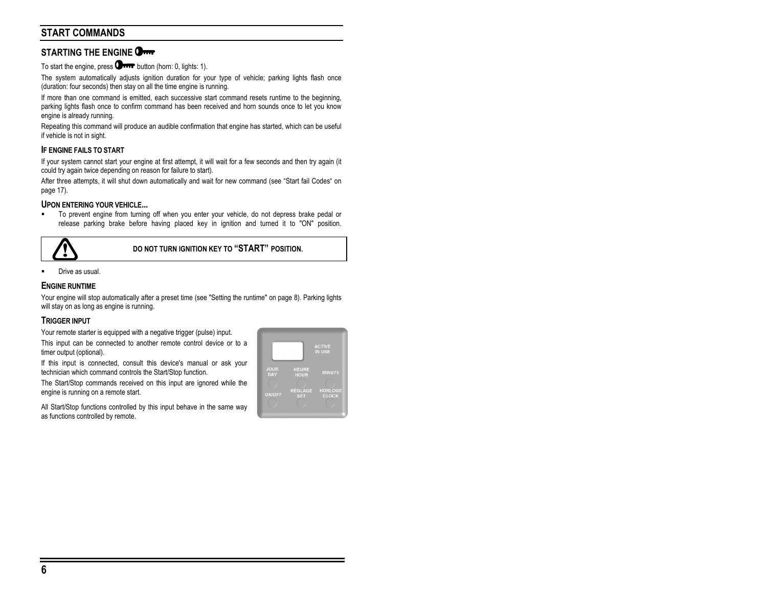## **START COMMANDS**

## **STARTING THE ENGINE**

To start the engine, press  $\Box$  was button (horn: 0, lights: 1).

The system automatically adjusts ignition duration for your type of vehicle; parking lights flash once (duration: four seconds) then stay on all the time engine is running.

If more than one command is emitted, each successive start command resets runtime to the beginning, parking lights flash once to confirm command has been received and horn sounds once to let you know engine is already running.

Repeating this command will produce an audible confirmation that engine has started, which can be useful if vehicle is not in sight.

#### **IF ENGINE FAILS TO START**

If your system cannot start your engine at first attempt, it will wait for a few seconds and then try again (it could try again twice depending on reason for failure to start).

After three attempts, it will shut down automatically and wait for new command (see "Start fail Codes" on page 17).

#### **UPON ENTERING YOUR VEHICLE...**

 To prevent engine from turning off when you enter your vehicle, do not depress brake pedal or release parking brake before having placed key in ignition and turned it to "ON" position.



#### **DO NOT TURN IGNITION KEY TO "START" POSITION.**

Drive as usual.

#### **ENGINE RUNTIME**

Your engine will stop automatically after a preset time (see "Setting the runtime" on page 8). Parking lights will stay on as long as engine is running.

#### **TRIGGER INPUT**

Your remote starter is equipped with a negative trigger (pulse) input.

This input can be connected to another remote control device or to a timer output (optional).

If this input is connected, consult this device's manual or ask your technician which command controls the Start/Stop function.

The Start/Stop commands received on this input are ignored while the engine is running on a remote start.

All Start/Stop functions controlled by this input behave in the same way as functions controlled by remote.

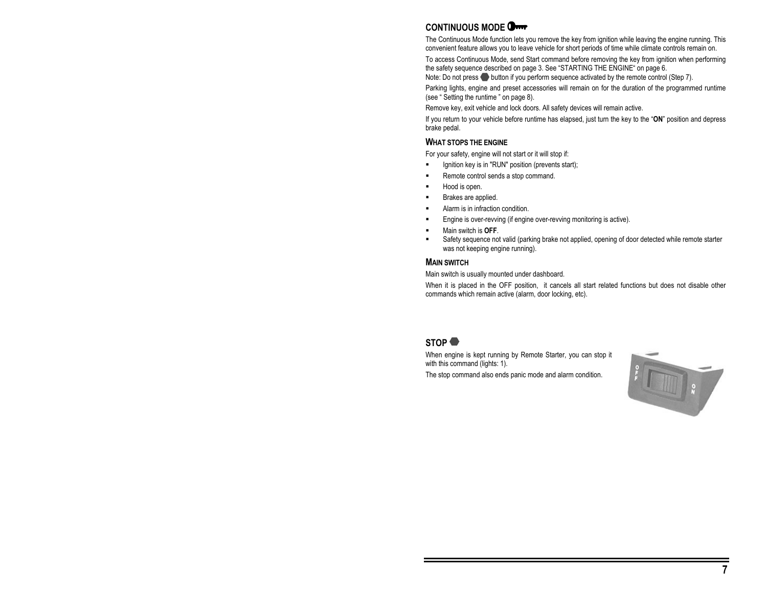## **CONTINUOUS MODE**

The Continuous Mode function lets you remove the key from ignition while leaving the engine running. This convenient feature allows you to leave vehicle for short periods of time while climate controls remain on.

To access Continuous Mode, send Start command before removing the key from ignition when performing the safety sequence described on page 3. See "STARTING THE ENGINE" on page 6.

Note: Do not press button if you perform sequence activated by the remote control (Step 7).

Parking lights, engine and preset accessories will remain on for the duration of the programmed runtime (see " Setting the runtime " on page 8).

Remove key, exit vehicle and lock doors. All safety devices will remain active.

If you return to your vehicle before runtime has elapsed, just turn the key to the "**ON**" position and depress brake pedal.

#### **WHAT STOPS THE ENGINE**

For your safety, engine will not start or it will stop if:

- Ignition key is in "RUN" position (prevents start);
- Remote control sends a stop command.
- Hood is open.
- Brakes are applied.
- Alarm is in infraction condition.
- Engine is over-revving (if engine over-revving monitoring is active).
- Main switch is **OFF**.
- Safety sequence not valid (parking brake not applied, opening of door detected while remote starter was not keeping engine running).

#### **MAIN SWITCH**

Main switch is usually mounted under dashboard.

When it is placed in the OFF position, it cancels all start related functions but does not disable other commands which remain active (alarm, door locking, etc).

## **STOP**

When engine is kept running by Remote Starter, you can stop it with this command (lights: 1).

The stop command also ends panic mode and alarm condition.

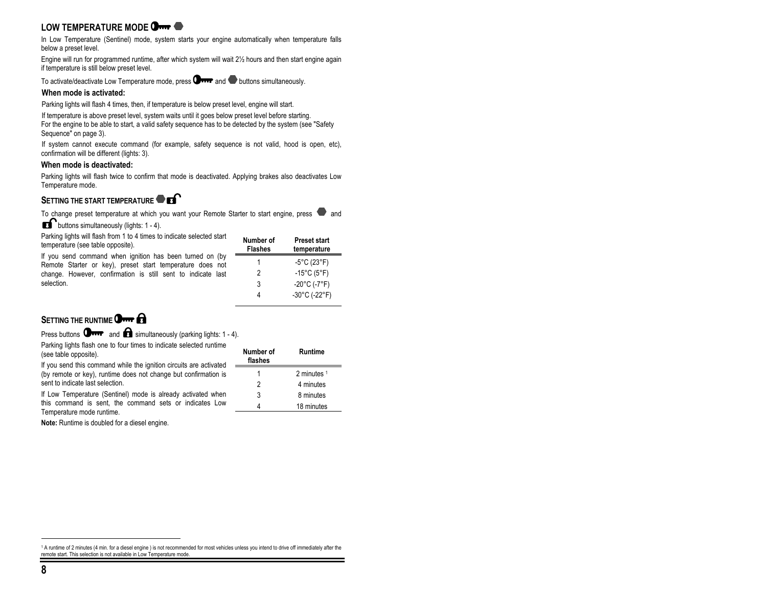## **LOW TEMPERATURE MODE**

In Low Temperature (Sentinel) mode, system starts your engine automatically when temperature falls below a preset level.

Engine will run for programmed runtime, after which system will wait 2½ hours and then start engine again if temperature is still below preset level.

To activate/deactivate Low Temperature mode, press  $\Box$  and  $\Box$  buttons simultaneously.

#### **When mode is activated:**

Parking lights will flash 4 times, then, if temperature is below preset level, engine will start.

If temperature is above preset level, system waits until it goes below preset level before starting. For the engine to be able to start, a valid safety sequence has to be detected by the system (see "Safety

Sequence" on page 3).

If system cannot execute command (for example, safety sequence is not valid, hood is open, etc), confirmation will be different (lights: 3).

#### **When mode is deactivated:**

Parking lights will flash twice to confirm that mode is deactivated. Applying brakes also deactivates Low Temperature mode.

#### **SETTING THE START TEMPERATURE**

To change preset temperature at which you want your Remote Starter to start engine, press  $\bullet$  and

**buttons simultaneously (lights: 1 - 4).** 

Parking lights will flash from 1 to 4 times to indicate selected start temperature (see table opposite).

If you send command when ignition has been turned on (by Remote Starter or key), preset start temperature does not change. However, confirmation is still sent to indicate last selection.

| Preset start<br>temperature        |
|------------------------------------|
| $-5^{\circ}$ C (23 $^{\circ}$ F)   |
| $-15^{\circ}$ C (5°F)              |
| $-20^{\circ}$ C (-7°F)             |
| $-30^{\circ}$ C (-22 $^{\circ}$ F) |
|                                    |

## **SETTING THE RUNTIME** OF **OHER**

Press buttons  $\mathbf{Q}_{\text{max}}$  and  $\mathbf{Q}_{\text{simultaneously}}$  (parking lights: 1 - 4).

Parking lights flash one to four times to indicate selected runtime (see table opposite).

If you send this command while the ignition circuits are activated (by remote or key), runtime does not change but confirmation is sent to indicate last selection.

If Low Temperature (Sentinel) mode is already activated when this command is sent, the command sets or indicates Low Temperature mode runtime.

**Note:** Runtime is doubled for a diesel engine.

| Number of<br>flashes | Runtime       |
|----------------------|---------------|
|                      | 2 minutes $1$ |
| 2                    | 4 minutes     |
| 3                    | 8 minutes     |
|                      | 18 minutes    |

<sup>1</sup> A runtime of 2 minutes (4 min. for a diesel engine ) is not recommended for most vehicles unless you intend to drive off immediately after the remote start. This selection is not available in Low Temperature mode.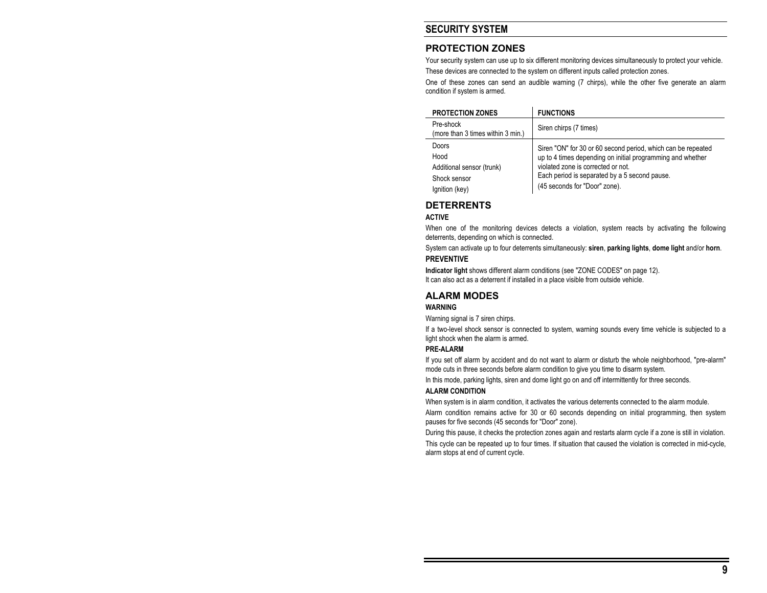## **SECURITY SYSTEM**

## **PROTECTION ZONES**

Your security system can use up to six different monitoring devices simultaneously to protect your vehicle.

These devices are connected to the system on different inputs called protection zones.

One of these zones can send an audible warning (7 chirps), while the other five generate an alarm condition if system is armed.

| <b>PROTECTION ZONES</b>                                    | <b>FUNCTIONS</b>                                                                                                                                                                                                  |
|------------------------------------------------------------|-------------------------------------------------------------------------------------------------------------------------------------------------------------------------------------------------------------------|
| Pre-shock<br>(more than 3 times within 3 min.)             | Siren chirps (7 times)                                                                                                                                                                                            |
| Doors<br>Hood<br>Additional sensor (trunk)<br>Shock sensor | Siren "ON" for 30 or 60 second period, which can be repeated<br>up to 4 times depending on initial programming and whether<br>violated zone is corrected or not.<br>Each period is separated by a 5 second pause. |
| Ignition (key)                                             | (45 seconds for "Door" zone).                                                                                                                                                                                     |

## **DETERRENTS**

#### **ACTIVE**

When one of the monitoring devices detects a violation, system reacts by activating the following deterrents, depending on which is connected.

System can activate up to four deterrents simultaneously: **siren**, **parking lights**, **dome light** and/or **horn**.

#### **PREVENTIVE**

**Indicator light** shows different alarm conditions (see "ZONE CODES" on page 12).

It can also act as a deterrent if installed in a place visible from outside vehicle.

## **ALARM MODES**

#### **WARNING**

Warning signal is 7 siren chirps.

If a two-level shock sensor is connected to system, warning sounds every time vehicle is subjected to a light shock when the alarm is armed.

#### **PRE-ALARM**

If you set off alarm by accident and do not want to alarm or disturb the whole neighborhood, "pre-alarm" mode cuts in three seconds before alarm condition to give you time to disarm system.

In this mode, parking lights, siren and dome light go on and off intermittently for three seconds.

#### **ALARM CONDITION**

When system is in alarm condition, it activates the various deterrents connected to the alarm module.

Alarm condition remains active for 30 or 60 seconds depending on initial programming, then system pauses for five seconds (45 seconds for "Door" zone).

During this pause, it checks the protection zones again and restarts alarm cycle if a zone is still in violation.

This cycle can be repeated up to four times. If situation that caused the violation is corrected in mid-cycle, alarm stops at end of current cycle.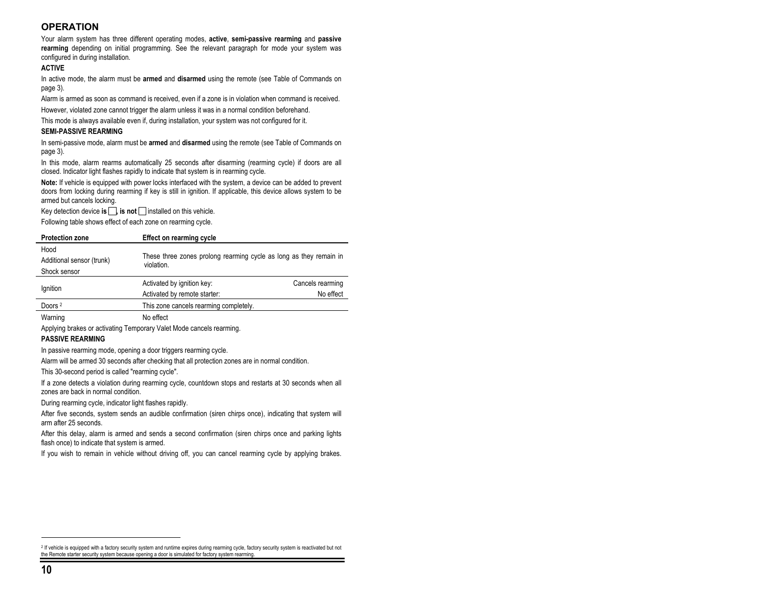## **OPERATION**

Your alarm system has three different operating modes, **active**, **semi-passive rearming** and **passive rearming** depending on initial programming. See the relevant paragraph for mode your system was configured in during installation.

#### **ACTIVE**

In active mode, the alarm must be **armed** and **disarmed** using the remote (see Table of Commands on page 3).

Alarm is armed as soon as command is received, even if a zone is in violation when command is received.

However, violated zone cannot trigger the alarm unless it was in a normal condition beforehand.

This mode is always available even if, during installation, your system was not configured for it.

#### **SEMI-PASSIVE REARMING**

In semi-passive mode, alarm must be **armed** and **disarmed** using the remote (see Table of Commands on page 3).

In this mode, alarm rearms automatically 25 seconds after disarming (rearming cycle) if doors are all closed. Indicator light flashes rapidly to indicate that system is in rearming cycle.

**Note:** If vehicle is equipped with power locks interfaced with the system, a device can be added to prevent doors from locking during rearming if key is still in ignition. If applicable, this device allows system to be armed but cancels locking.

Key detection device **is**  $\Box$ , **is not**  $\Box$  installed on this vehicle.

Following table shows effect of each zone on rearming cycle.

| <b>Protection zone</b>    | Effect on rearming cycle                                                         |                  |
|---------------------------|----------------------------------------------------------------------------------|------------------|
| Hood                      |                                                                                  |                  |
| Additional sensor (trunk) | These three zones prolong rearming cycle as long as they remain in<br>violation. |                  |
| Shock sensor              |                                                                                  |                  |
|                           | Activated by ignition key:                                                       | Cancels rearming |
| Ignition                  | Activated by remote starter:                                                     | No effect        |
| Doors <sup>2</sup>        | This zone cancels rearming completely.                                           |                  |
| Warning                   | No effect                                                                        |                  |

Applying brakes or activating Temporary Valet Mode cancels rearming.

#### **PASSIVE REARMING**

In passive rearming mode, opening a door triggers rearming cycle.

Alarm will be armed 30 seconds after checking that all protection zones are in normal condition.

This 30-second period is called "rearming cycle".

If a zone detects a violation during rearming cycle, countdown stops and restarts at 30 seconds when all zones are back in normal condition.

During rearming cycle, indicator light flashes rapidly.

After five seconds, system sends an audible confirmation (siren chirps once), indicating that system will arm after 25 seconds.

After this delay, alarm is armed and sends a second confirmation (siren chirps once and parking lights flash once) to indicate that system is armed.

If you wish to remain in vehicle without driving off, you can cancel rearming cycle by applying brakes.

<sup>&</sup>lt;sup>2</sup> If vehicle is equipped with a factory security system and runtime expires during rearming cycle, factory security system is reactivated but not the Remote starter security system because opening a door is simulated for factory system rearming.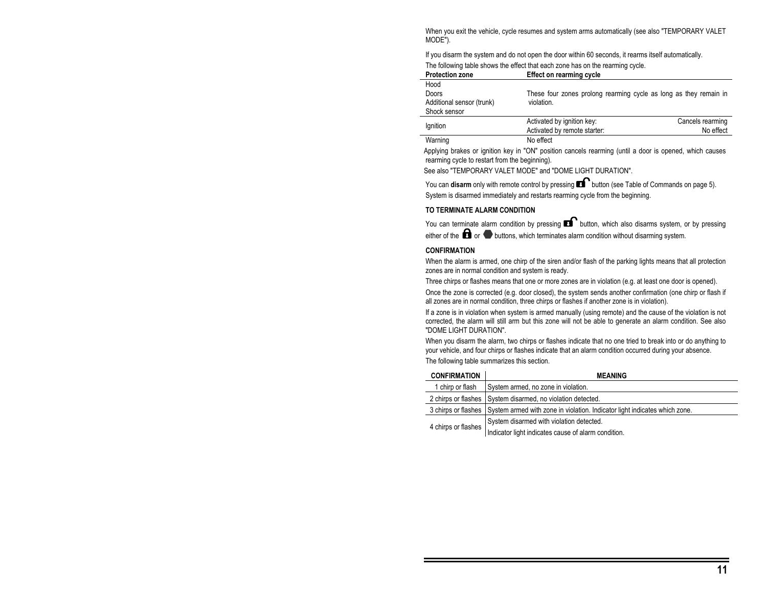When you exit the vehicle, cycle resumes and system arms automatically (see also "TEMPORARY VALET MODE").

If you disarm the system and do not open the door within 60 seconds, it rearms itself automatically.

|  |  | The following table shows the effect that each zone has on the rearming cycle. |
|--|--|--------------------------------------------------------------------------------|
|  |  |                                                                                |

| <b>Protection zone</b>    | Effect on rearming cycle                                          |                  |
|---------------------------|-------------------------------------------------------------------|------------------|
| Hood                      |                                                                   |                  |
| Doors                     | These four zones prolong rearming cycle as long as they remain in |                  |
| Additional sensor (trunk) | violation.                                                        |                  |
| Shock sensor              |                                                                   |                  |
|                           | Activated by ignition key:                                        | Cancels rearming |
| lgnition                  | Activated by remote starter:                                      | No effect        |

| Warning | No effect |
|---------|-----------|

Applying brakes or ignition key in "ON" position cancels rearming (until a door is opened, which causes rearming cycle to restart from the beginning).

See also "TEMPORARY VALET MODE" and "DOME LIGHT DURATION".

You can **disarm** only with remote control by pressing **B** button (see Table of Commands on page 5). System is disarmed immediately and restarts rearming cycle from the beginning.

#### **TO TERMINATE ALARM CONDITION**

You can terminate alarm condition by pressing  $\blacksquare$  button, which also disarms system, or by pressing either of the  $\blacksquare$  or  $\blacksquare$  buttons, which terminates alarm condition without disarming system.

#### **CONFIRMATION**

When the alarm is armed, one chirp of the siren and/or flash of the parking lights means that all protection zones are in normal condition and system is ready.

Three chirps or flashes means that one or more zones are in violation (e.g. at least one door is opened).

Once the zone is corrected (e.g. door closed), the system sends another confirmation (one chirp or flash if all zones are in normal condition, three chirps or flashes if another zone is in violation).

If a zone is in violation when system is armed manually (using remote) and the cause of the violation is not corrected, the alarm will still arm but this zone will not be able to generate an alarm condition. See also "DOME LIGHT DURATION".

When you disarm the alarm, two chirps or flashes indicate that no one tried to break into or do anything to your vehicle, and four chirps or flashes indicate that an alarm condition occurred during your absence. The following table summarizes this section.

| <b>CONFIRMATION</b>                                                                            | <b>MEANING</b>                                              |
|------------------------------------------------------------------------------------------------|-------------------------------------------------------------|
| 1 chirp or flash                                                                               | System armed, no zone in violation.                         |
|                                                                                                | 2 chirps or flashes System disarmed, no violation detected. |
| 3 chirps or flashes System armed with zone in violation. Indicator light indicates which zone. |                                                             |
| 4 chirps or flashes                                                                            | System disarmed with violation detected.                    |
|                                                                                                | Indicator light indicates cause of alarm condition.         |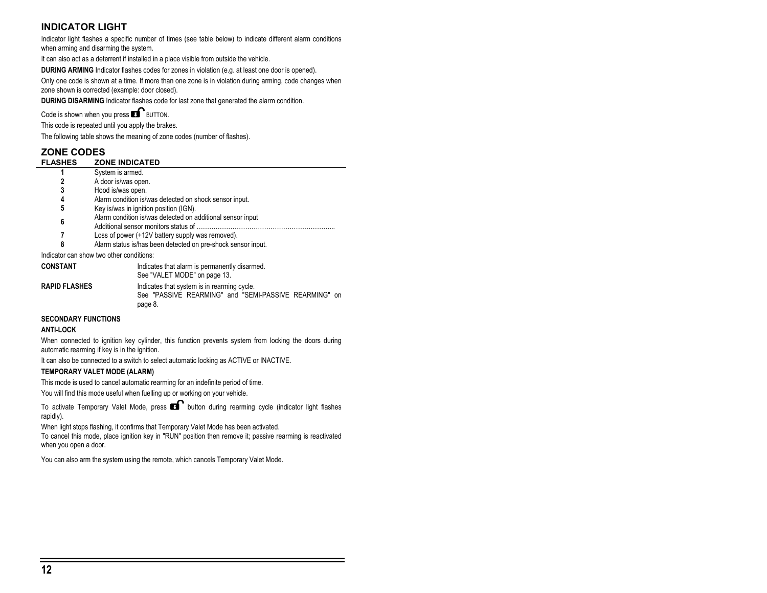## **INDICATOR LIGHT**

Indicator light flashes a specific number of times (see table below) to indicate different alarm conditions when arming and disarming the system.

It can also act as a deterrent if installed in a place visible from outside the vehicle.

**DURING ARMING** Indicator flashes codes for zones in violation (e.g. at least one door is opened).

Only one code is shown at a time. If more than one zone is in violation during arming, code changes when zone shown is corrected (example: door closed).

**DURING DISARMING** Indicator flashes code for last zone that generated the alarm condition.

Code is shown when you press  $\blacksquare$  BUTTON.

This code is repeated until you apply the brakes.

The following table shows the meaning of zone codes (number of flashes).

|                      | <b>ZONE CODES</b>                                            |  |  |  |  |
|----------------------|--------------------------------------------------------------|--|--|--|--|
| <b>FLASHES</b>       | <b>ZONE INDICATED</b>                                        |  |  |  |  |
|                      | System is armed.                                             |  |  |  |  |
| 2                    | A door is/was open.                                          |  |  |  |  |
| 3                    | Hood is/was open.                                            |  |  |  |  |
| 4                    | Alarm condition is/was detected on shock sensor input.       |  |  |  |  |
| 5                    | Key is/was in ignition position (IGN).                       |  |  |  |  |
| 6                    | Alarm condition is/was detected on additional sensor input   |  |  |  |  |
|                      |                                                              |  |  |  |  |
|                      | Loss of power (+12V battery supply was removed).             |  |  |  |  |
| 8                    | Alarm status is/has been detected on pre-shock sensor input. |  |  |  |  |
|                      | Indicator can show two other conditions:                     |  |  |  |  |
| <b>CONSTANT</b>      | Indicates that alarm is permanently disarmed.                |  |  |  |  |
|                      | See "VALET MODE" on page 13.                                 |  |  |  |  |
| <b>RAPID FLASHES</b> | Indicates that system is in rearming cycle.                  |  |  |  |  |

#### **SECONDARY FUNCTIONS**

#### **ANTI-LOCK**

When connected to ignition key cylinder, this function prevents system from locking the doors during automatic rearming if key is in the ignition.

See "PASSIVE REARMING" and "SEMI-PASSIVE REARMING" on

It can also be connected to a switch to select automatic locking as ACTIVE or INACTIVE.

#### **TEMPORARY VALET MODE (ALARM)**

This mode is used to cancel automatic rearming for an indefinite period of time.

You will find this mode useful when fuelling up or working on your vehicle.

page 8.

To activate Temporary Valet Mode, press  $\blacksquare$  button during rearming cycle (indicator light flashes rapidly).

When light stops flashing, it confirms that Temporary Valet Mode has been activated.

To cancel this mode, place ignition key in "RUN" position then remove it; passive rearming is reactivated when you open a door.

You can also arm the system using the remote, which cancels Temporary Valet Mode.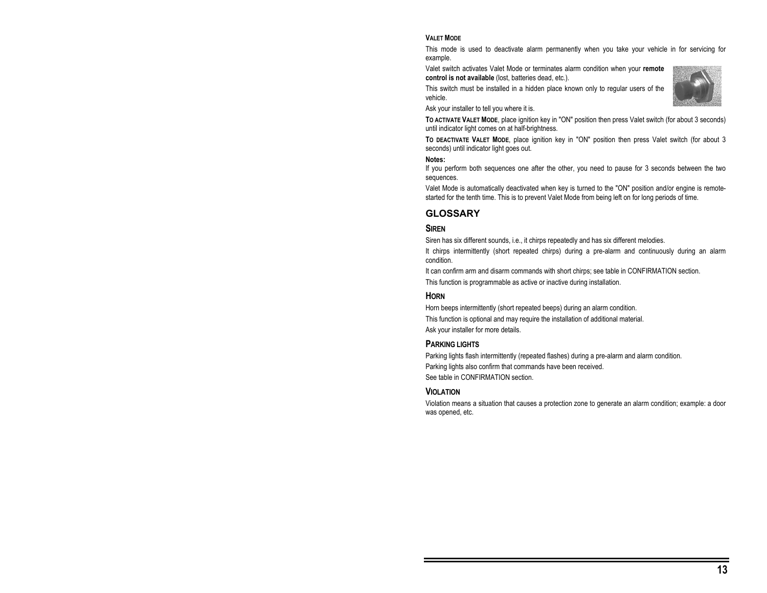#### **VALET MODE**

This mode is used to deactivate alarm permanently when you take your vehicle in for servicing for example.

Valet switch activates Valet Mode or terminates alarm condition when your **remote control is not available** (lost, batteries dead, etc.).

This switch must be installed in a hidden place known only to regular users of the vehicle.

Ask your installer to tell you where it is.

**TO ACTIVATE VALET MODE**, place ignition key in "ON" position then press Valet switch (for about 3 seconds) until indicator light comes on at half-brightness.

**TO DEACTIVATE VALET MODE**, place ignition key in "ON" position then press Valet switch (for about 3 seconds) until indicator light goes out.

#### **Notes:**

If you perform both sequences one after the other, you need to pause for 3 seconds between the two sequences.

Valet Mode is automatically deactivated when key is turned to the "ON" position and/or engine is remotestarted for the tenth time. This is to prevent Valet Mode from being left on for long periods of time.

## **GLOSSARY**

#### **SIREN**

Siren has six different sounds, i.e., it chirps repeatedly and has six different melodies.

It chirps intermittently (short repeated chirps) during a pre-alarm and continuously during an alarm condition.

It can confirm arm and disarm commands with short chirps; see table in CONFIRMATION section.

This function is programmable as active or inactive during installation.

#### **HORN**

Horn beeps intermittently (short repeated beeps) during an alarm condition.

This function is optional and may require the installation of additional material.

Ask your installer for more details.

#### **PARKING LIGHTS**

Parking lights flash intermittently (repeated flashes) during a pre-alarm and alarm condition. Parking lights also confirm that commands have been received. See table in CONFIRMATION section.

#### **VIOLATION**

Violation means a situation that causes a protection zone to generate an alarm condition; example: a door was opened, etc.

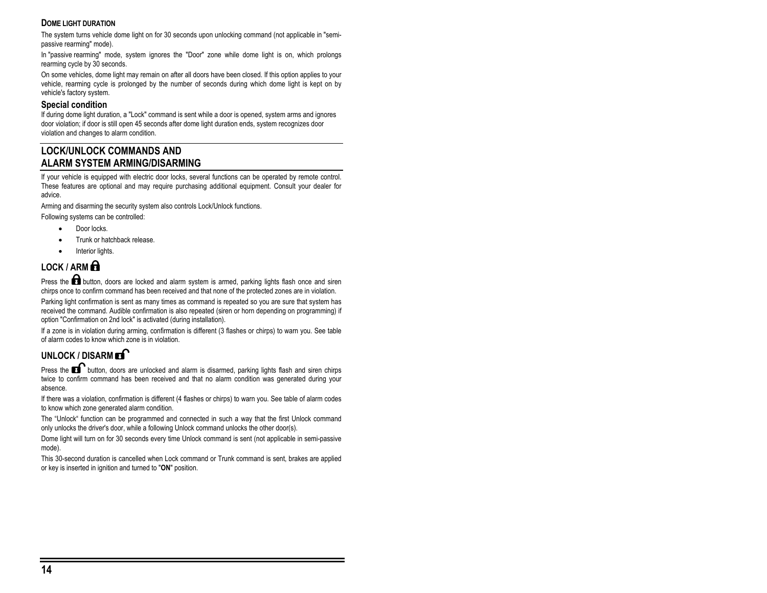#### **DOME LIGHT DURATION**

The system turns vehicle dome light on for 30 seconds upon unlocking command (not applicable in "semipassive rearming" mode).

In "passive rearming" mode, system ignores the "Door" zone while dome light is on, which prolongs rearming cycle by 30 seconds.

On some vehicles, dome light may remain on after all doors have been closed. If this option applies to your vehicle, rearming cycle is prolonged by the number of seconds during which dome light is kept on by vehicle's factory system.

#### **Special condition**

If during dome light duration, a "Lock" command is sent while a door is opened, system arms and ignores door violation; if door is still open 45 seconds after dome light duration ends, system recognizes door violation and changes to alarm condition.

## **LOCK/UNLOCK COMMANDS AND ALARM SYSTEM ARMING/DISARMING**

If your vehicle is equipped with electric door locks, several functions can be operated by remote control. These features are optional and may require purchasing additional equipment. Consult your dealer for advice.

Arming and disarming the security system also controls Lock/Unlock functions.

Following systems can be controlled:

- Door locks.
- Trunk or hatchback release.
- Interior lights.

## **LOCK / ARM**

Press the **button**, doors are locked and alarm system is armed, parking lights flash once and siren chirps once to confirm command has been received and that none of the protected zones are in violation.

Parking light confirmation is sent as many times as command is repeated so you are sure that system has received the command. Audible confirmation is also repeated (siren or horn depending on programming) if option "Confirmation on 2nd lock" is activated (during installation).

If a zone is in violation during arming, confirmation is different (3 flashes or chirps) to warn you. See table of alarm codes to know which zone is in violation.

## UNLOCK / DISARM **EX**

Press the **button**, doors are unlocked and alarm is disarmed, parking lights flash and siren chirps twice to confirm command has been received and that no alarm condition was generated during your absence.

If there was a violation, confirmation is different (4 flashes or chirps) to warn you. See table of alarm codes to know which zone generated alarm condition.

The "Unlock" function can be programmed and connected in such a way that the first Unlock command only unlocks the driver's door, while a following Unlock command unlocks the other door(s).

Dome light will turn on for 30 seconds every time Unlock command is sent (not applicable in semi-passive mode).

This 30-second duration is cancelled when Lock command or Trunk command is sent, brakes are applied or key is inserted in ignition and turned to "**ON**" position.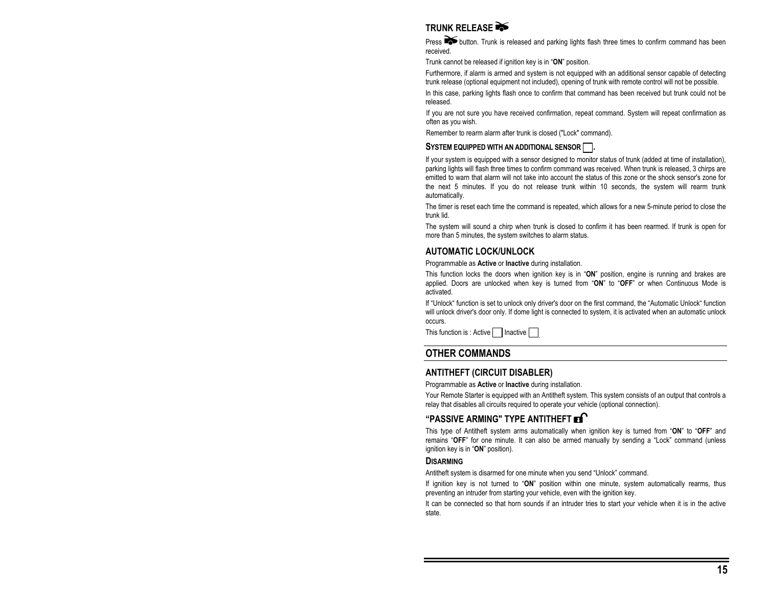## **TRUNK RELEASE**

Press **button.** Trunk is released and parking lights flash three times to confirm command has been received.

Trunk cannot be released if ignition key is in "**ON**" position.

Furthermore, if alarm is armed and system is not equipped with an additional sensor capable of detecting trunk release (optional equipment not included), opening of trunk with remote control will not be possible.

In this case, parking lights flash once to confirm that command has been received but trunk could not be released.

If you are not sure you have received confirmation, repeat command. System will repeat confirmation as often as you wish.

Remember to rearm alarm after trunk is closed ("Lock" command).

#### SYSTEM EQUIPPED WITH AN ADDITIONAL SENSOR

If your system is equipped with a sensor designed to monitor status of trunk (added at time of installation), parking lights will flash three times to confirm command was received. When trunk is released, 3 chirps are emitted to warn that alarm will not take into account the status of this zone or the shock sensor's zone for the next 5 minutes. If you do not release trunk within 10 seconds, the system will rearm trunk automatically.

The timer is reset each time the command is repeated, which allows for a new 5-minute period to close the trunk lid.

The system will sound a chirp when trunk is closed to confirm it has been rearmed. If trunk is open for more than 5 minutes, the system switches to alarm status.

#### **AUTOMATIC LOCK/UNLOCK**

Programmable as **Active** or **Inactive** during installation.

This function locks the doors when ignition key is in "**ON**" position, engine is running and brakes are applied. Doors are unlocked when key is turned from "**ON**" to "**OFF**" or when Continuous Mode is activated.

If "Unlock" function is set to unlock only driver's door on the first command, the "Automatic Unlock" function will unlock driver's door only. If dome light is connected to system, it is activated when an automatic unlock occurs.

This function is : Active | Inactive |

#### **OTHER COMMANDS**

#### **ANTITHEFT (CIRCUIT DISABLER)**

Programmable as **Active** or **Inactive** during installation.

Your Remote Starter is equipped with an Antitheft system. This system consists of an output that controls a relay that disables all circuits required to operate your vehicle (optional connection).

## **"PASSIVE ARMING" TYPE ANTITHEFT**

This type of Antitheft system arms automatically when ignition key is turned from "**ON**" to "**OFF**" and remains "**OFF**" for one minute. It can also be armed manually by sending a "Lock" command (unless ignition key is in "**ON**" position).

#### **DISARMING**

Antitheft system is disarmed for one minute when you send "Unlock" command.

If ignition key is not turned to "**ON**" position within one minute, system automatically rearms, thus preventing an intruder from starting your vehicle, even with the ignition key.

It can be connected so that horn sounds if an intruder tries to start your vehicle when it is in the active state.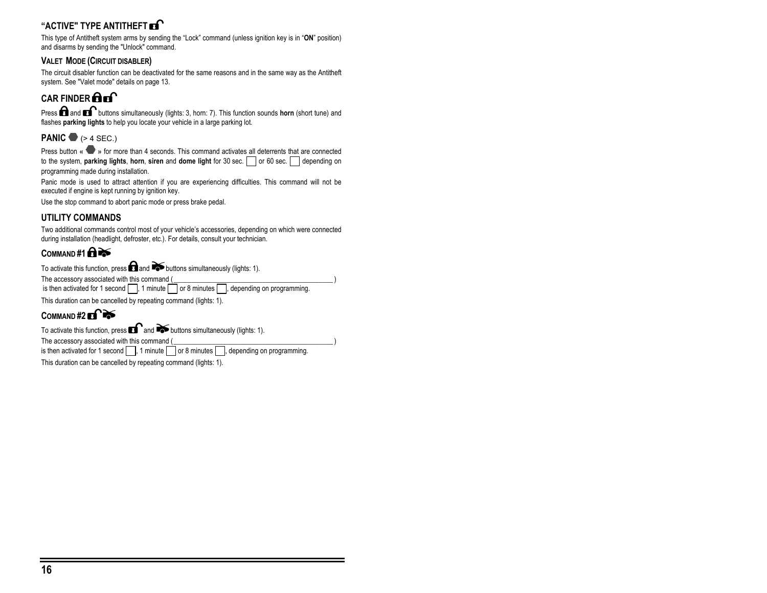## **"ACTIVE" TYPE ANTITHEFT**

This type of Antitheft system arms by sending the "Lock" command (unless ignition key is in "**ON**" position) and disarms by sending the "Unlock" command.

#### **VALET MODE (CIRCUIT DISABLER)**

The circuit disabler function can be deactivated for the same reasons and in the same way as the Antitheft system. See "Valet mode" details on page 13.

## **CAR FINDER <b>COL**

Press **and a**nd **buttons simultaneously (lights: 3, horn: 7).** This function sounds **horn** (short tune) and flashes **parking lights** to help you locate your vehicle in a large parking lot.

## **PANIC**  $\bullet$  **(** $> 4$  **SEC.)**

Press button « » for more than 4 seconds. This command activates all deterrents that are connected to the system, **parking lights**, **horn**, **siren** and **dome light** for 30 sec.  $\Box$  or 60 sec.  $\Box$  depending on programming made during installation.

Panic mode is used to attract attention if you are experiencing difficulties. This command will not be executed if engine is kept running by ignition key.

Use the stop command to abort panic mode or press brake pedal.

## **UTILITY COMMANDS**

Two additional commands control most of your vehicle's accessories, depending on which were connected during installation (headlight, defroster, etc.). For details, consult your technician.

## COMMAND #1 **A**

To activate this function, press **and and**  $\bullet$  buttons simultaneously (lights: 1).

The accessory associated with this command (

is then activated for 1 second  $\Box$ , 1 minute  $\Box$  or 8 minutes  $\Box$ , depending on programming.

This duration can be cancelled by repeating command (lights: 1).

## COMMAND #2 **Frace**

To activate this function, press  $\blacksquare$  and  $\blacktriangleright$  buttons simultaneously (lights: 1).

The accessory associated with this command (

is then activated for 1 second  $\Box$ , 1 minute  $\Box$  or 8 minutes  $\Box$ , depending on programming.

This duration can be cancelled by repeating command (lights: 1).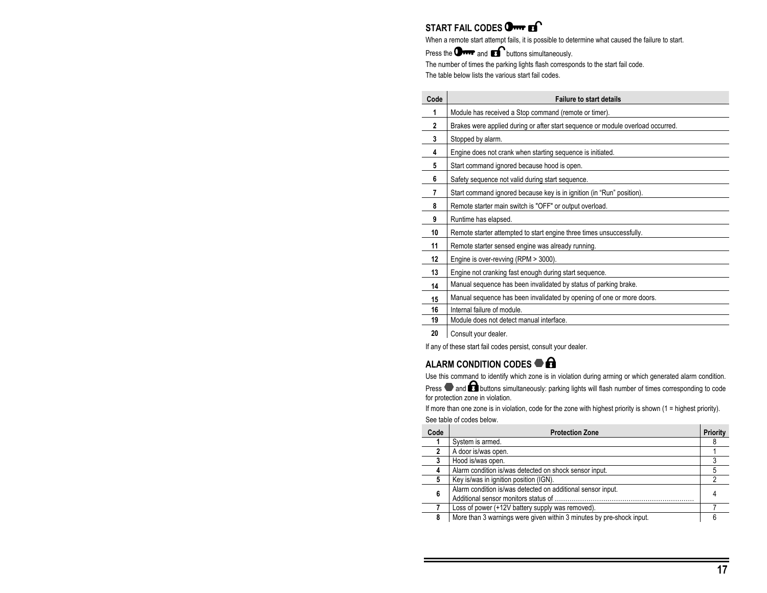## **START FAIL CODES Orm Es**

When a remote start attempt fails, it is possible to determine what caused the failure to start.

Press the **OFFF** and  $\blacksquare$  buttons simultaneously.

The number of times the parking lights flash corresponds to the start fail code.

The table below lists the various start fail codes.

| Code         | <b>Failure to start details</b>                                                 |
|--------------|---------------------------------------------------------------------------------|
| 1            | Module has received a Stop command (remote or timer).                           |
| $\mathbf{2}$ | Brakes were applied during or after start sequence or module overload occurred. |
| 3            | Stopped by alarm.                                                               |
| 4            | Engine does not crank when starting sequence is initiated.                      |
| 5            | Start command ignored because hood is open.                                     |
| 6            | Safety sequence not valid during start sequence.                                |
| 7            | Start command ignored because key is in ignition (in "Run" position).           |
| 8            | Remote starter main switch is "OFF" or output overload.                         |
| 9            | Runtime has elapsed.                                                            |
| 10           | Remote starter attempted to start engine three times unsuccessfully.            |
| 11           | Remote starter sensed engine was already running.                               |
| 12           | Engine is over-revving (RPM > 3000).                                            |
| 13           | Engine not cranking fast enough during start sequence.                          |
| 14           | Manual sequence has been invalidated by status of parking brake.                |
| 15           | Manual sequence has been invalidated by opening of one or more doors.           |
| 16           | Internal failure of module.                                                     |
| 19           | Module does not detect manual interface.                                        |
| ົ            | Osasukusus deeles                                                               |

Consult your dealer.

If any of these start fail codes persist, consult your dealer.

## **ALARM CONDITION CODES**

Use this command to identify which zone is in violation during arming or which generated alarm condition.

Press and **A** buttons simultaneously: parking lights will flash number of times corresponding to code for protection zone in violation.

If more than one zone is in violation, code for the zone with highest priority is shown (1 = highest priority). See table of codes below.

| Code | <b>Protection Zone</b>                                               | Priority |
|------|----------------------------------------------------------------------|----------|
|      | System is armed.                                                     |          |
|      | A door is/was open.                                                  |          |
|      | Hood is/was open.                                                    |          |
|      | Alarm condition is/was detected on shock sensor input.               |          |
| 5    | Key is/was in ignition position (IGN).                               |          |
| 6    | Alarm condition is/was detected on additional sensor input.          |          |
|      | Loss of power (+12V battery supply was removed).                     |          |
| 8    | More than 3 warnings were given within 3 minutes by pre-shock input. |          |